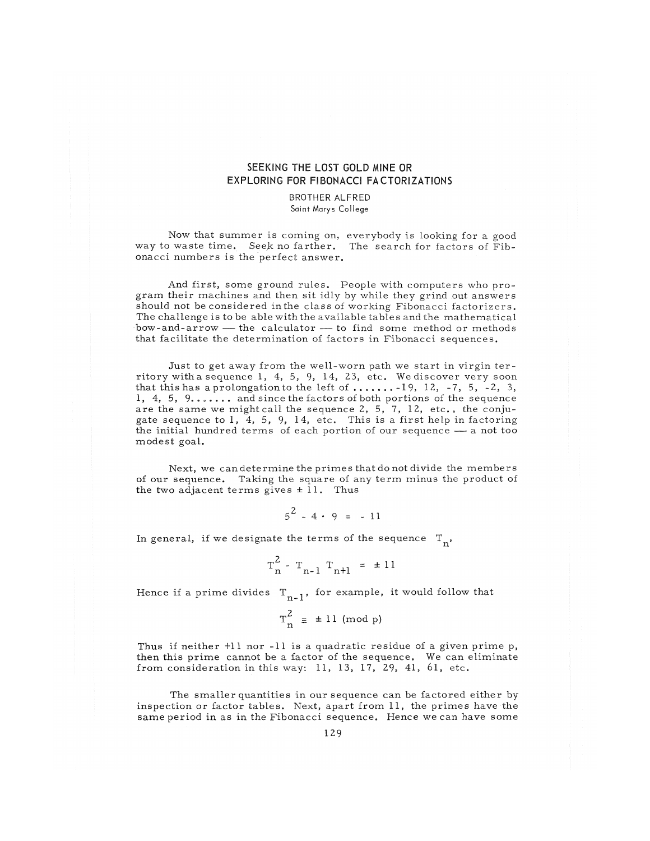## SEEKING THE LOST GOLD MINE OR EXPLORING FOR FIBONACCI FACTORIZATIONS

## BROTHER ALFRED Saint Marys College

Now that summer is coming on, everybody is looking for a good way to waste time. Seek no farther. The search for factors of Fibonacci numbers is the perfect answer.

And first, some ground rules. People with computers who program their machines and then sit idly by while they grind out answers should not be considered in the class of working Fibonacci factorizers. The challenge is to be able with the available tables and the mathematical bow- and- a rrow — the calculator — to find some method or methods that facilitate the determination of factors in Fibonacci sequences.

Just to get away from the well-worn path we start in virgin territory with a sequence 1, 4, 5, 9, 14, 23, etc. We discover very soon that this has a prolongation to the left of  $\dots \dots$  19, 12, -7, 5, -2, 3, 1, 4, 5,  $9......$  and since the factors of both portions of the sequence are the same we might call the sequence 2, 5, 7, 12, etc., the conjugate sequence to  $1$ ,  $4$ ,  $5$ ,  $9$ ,  $14$ , etc. This is a first help in factoring the initial hundred terms of each portion of our sequence — a not too mode st goal.

Next, we can determine the primes that do not divide the members of our sequence. Taking the square of any term minus the product of the two adjacent terms gives  $\pm$  11. Thus

 $5^2 - 4 \cdot 9 = -11$ 

In general, if we designate the terms of the sequence  $T_{n}$ ,

$$
T_n^2 - T_{n-1} T_{n+1} = \pm 11
$$

Hence if a prime divides  $T_{n-1}$ , for example, it would follow that

$$
T_n^2 \equiv \pm 11 \ (\mathrm{mod} \ p)
$$

Thus if neither +11 nor -11 is a quadratic residue of a given prime p, then this prime cannot be a factor of the sequence. We can eliminate from consideration in this way: 11, 13, 17, 29, 41, 61, etc.

The smaller quantities in our sequence can be factored either by inspection or factor tables. Next, apart from 11, the primes have the s ame period in as in the Fibonacci sequence. Hence we can have some